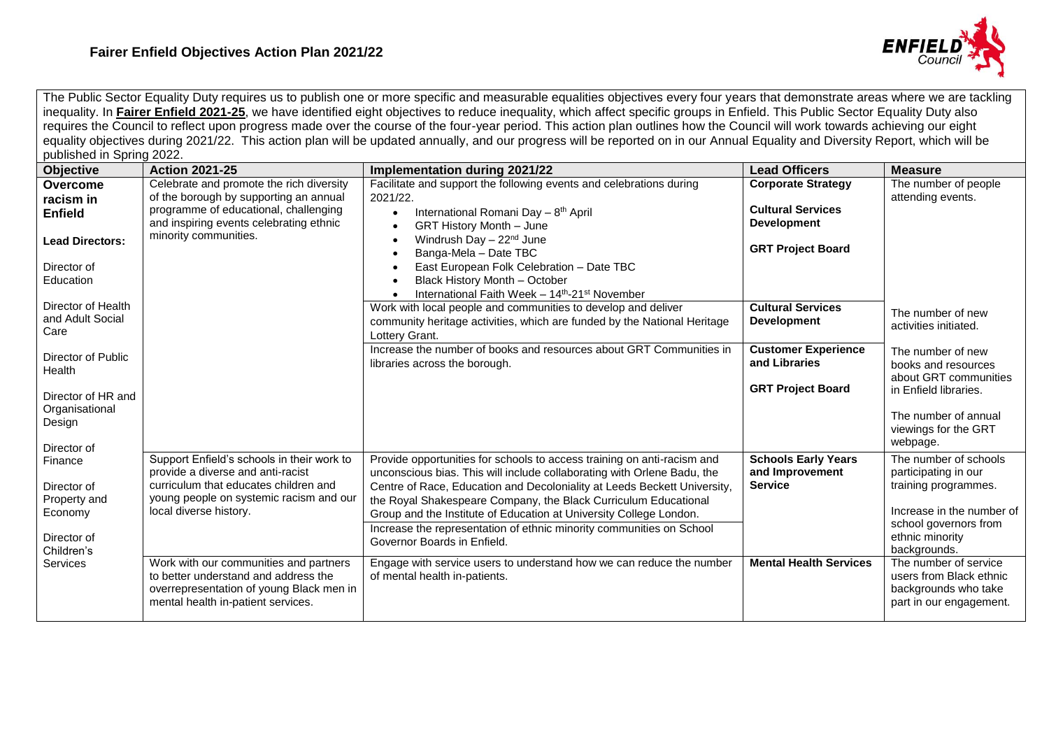

The Public Sector Equality Duty requires us to publish one or more specific and measurable equalities objectives every four years that demonstrate areas where we are tackling inequality. In **[Fairer Enfield 2021-25](https://new.enfield.gov.uk/services/your-council/fairer-enfield-policy-2021-2025-your-council.pdf)**, we have identified eight objectives to reduce inequality, which affect specific groups in Enfield. This Public Sector Equality Duty also requires the Council to reflect upon progress made over the course of the four-year period. This action plan outlines how the Council will work towards achieving our eight equality objectives during 2021/22. This action plan will be updated annually, and our progress will be reported on in our Annual Equality and Diversity Report, which will be published in Spring 2022.

| publicities in Opinity EULL.                                                                      |                                                                                                                                                                                                                                         |                                                                                                                                                                                                                                                                                                                                                                                                                                                                                                                                                        |                                                                                                         |                                                                                                                                                                                         |
|---------------------------------------------------------------------------------------------------|-----------------------------------------------------------------------------------------------------------------------------------------------------------------------------------------------------------------------------------------|--------------------------------------------------------------------------------------------------------------------------------------------------------------------------------------------------------------------------------------------------------------------------------------------------------------------------------------------------------------------------------------------------------------------------------------------------------------------------------------------------------------------------------------------------------|---------------------------------------------------------------------------------------------------------|-----------------------------------------------------------------------------------------------------------------------------------------------------------------------------------------|
| <b>Objective</b>                                                                                  | <b>Action 2021-25</b>                                                                                                                                                                                                                   | <b>Implementation during 2021/22</b>                                                                                                                                                                                                                                                                                                                                                                                                                                                                                                                   | <b>Lead Officers</b>                                                                                    | <b>Measure</b>                                                                                                                                                                          |
| Overcome<br>racism in<br><b>Enfield</b><br><b>Lead Directors:</b><br>Director of<br>Education     | Celebrate and promote the rich diversity<br>of the borough by supporting an annual<br>programme of educational, challenging<br>and inspiring events celebrating ethnic<br>minority communities.                                         | Facilitate and support the following events and celebrations during<br>2021/22.<br>International Romani Day - 8 <sup>th</sup> April<br><b>GRT History Month - June</b><br>Windrush Day - 22 <sup>nd</sup> June<br>Banga-Mela - Date TBC<br>East European Folk Celebration - Date TBC<br>Black History Month - October<br>International Faith Week - 14 <sup>th</sup> -21 <sup>st</sup> November                                                                                                                                                        | <b>Corporate Strategy</b><br><b>Cultural Services</b><br><b>Development</b><br><b>GRT Project Board</b> | The number of people<br>attending events.                                                                                                                                               |
| Director of Health<br>and Adult Social<br>Care                                                    |                                                                                                                                                                                                                                         | Work with local people and communities to develop and deliver<br>community heritage activities, which are funded by the National Heritage<br>Lottery Grant.                                                                                                                                                                                                                                                                                                                                                                                            | <b>Cultural Services</b><br><b>Development</b>                                                          | The number of new<br>activities initiated.                                                                                                                                              |
| Director of Public<br>Health<br>Director of HR and<br>Organisational<br>Design<br>Director of     |                                                                                                                                                                                                                                         | Increase the number of books and resources about GRT Communities in<br>libraries across the borough.                                                                                                                                                                                                                                                                                                                                                                                                                                                   | <b>Customer Experience</b><br>and Libraries<br><b>GRT Project Board</b>                                 | The number of new<br>books and resources<br>about GRT communities<br>in Enfield libraries.<br>The number of annual<br>viewings for the GRT<br>webpage.                                  |
| Finance<br>Director of<br>Property and<br>Economy<br>Director of<br>Children's<br><b>Services</b> | Support Enfield's schools in their work to<br>provide a diverse and anti-racist<br>curriculum that educates children and<br>young people on systemic racism and our<br>local diverse history.<br>Work with our communities and partners | Provide opportunities for schools to access training on anti-racism and<br>unconscious bias. This will include collaborating with Orlene Badu, the<br>Centre of Race, Education and Decoloniality at Leeds Beckett University,<br>the Royal Shakespeare Company, the Black Curriculum Educational<br>Group and the Institute of Education at University College London.<br>Increase the representation of ethnic minority communities on School<br>Governor Boards in Enfield.<br>Engage with service users to understand how we can reduce the number | <b>Schools Early Years</b><br>and Improvement<br><b>Service</b><br><b>Mental Health Services</b>        | The number of schools<br>participating in our<br>training programmes.<br>Increase in the number of<br>school governors from<br>ethnic minority<br>backgrounds.<br>The number of service |
|                                                                                                   | to better understand and address the<br>overrepresentation of young Black men in<br>mental health in-patient services.                                                                                                                  | of mental health in-patients.                                                                                                                                                                                                                                                                                                                                                                                                                                                                                                                          |                                                                                                         | users from Black ethnic<br>backgrounds who take<br>part in our engagement.                                                                                                              |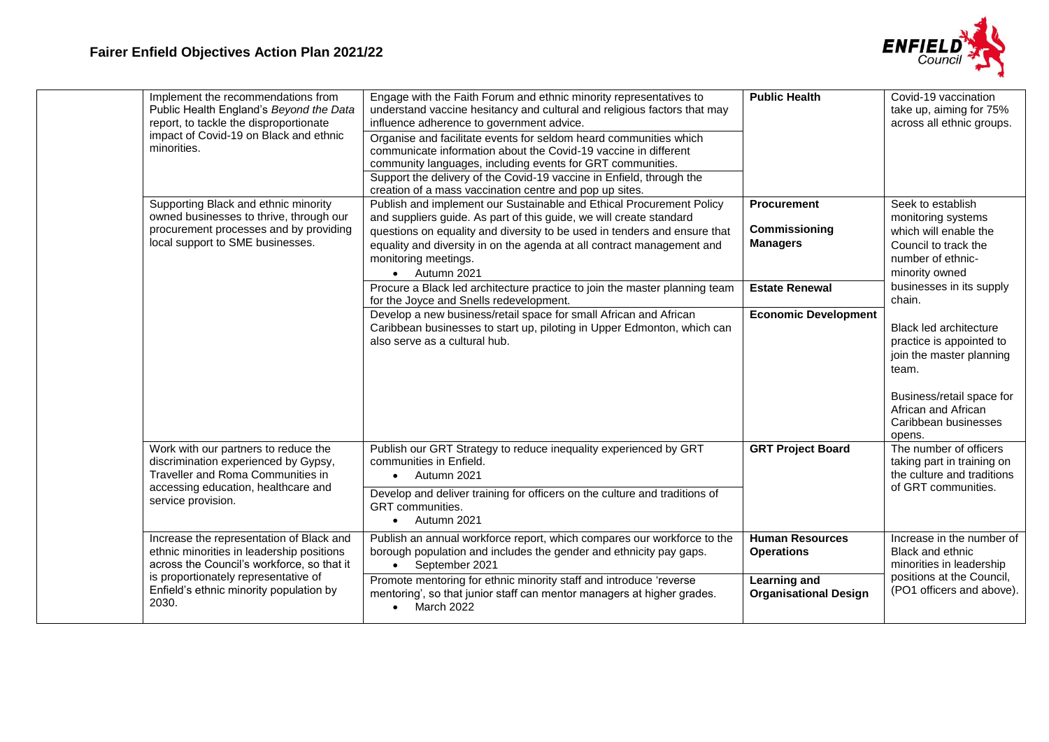

| Implement the recommendations from<br>Public Health England's Beyond the Data<br>report, to tackle the disproportionate<br>impact of Covid-19 on Black and ethnic<br>minorities.                                                | Engage with the Faith Forum and ethnic minority representatives to<br>understand vaccine hesitancy and cultural and religious factors that may<br>influence adherence to government advice.<br>Organise and facilitate events for seldom heard communities which<br>communicate information about the Covid-19 vaccine in different<br>community languages, including events for GRT communities.<br>Support the delivery of the Covid-19 vaccine in Enfield, through the<br>creation of a mass vaccination centre and pop up sites. | <b>Public Health</b>                                                                               | Covid-19 vaccination<br>take up, aiming for 75%<br>across all ethnic groups.                                                                                                            |
|---------------------------------------------------------------------------------------------------------------------------------------------------------------------------------------------------------------------------------|--------------------------------------------------------------------------------------------------------------------------------------------------------------------------------------------------------------------------------------------------------------------------------------------------------------------------------------------------------------------------------------------------------------------------------------------------------------------------------------------------------------------------------------|----------------------------------------------------------------------------------------------------|-----------------------------------------------------------------------------------------------------------------------------------------------------------------------------------------|
| Supporting Black and ethnic minority<br>owned businesses to thrive, through our<br>procurement processes and by providing<br>local support to SME businesses.                                                                   | Publish and implement our Sustainable and Ethical Procurement Policy<br>and suppliers guide. As part of this guide, we will create standard<br>questions on equality and diversity to be used in tenders and ensure that<br>equality and diversity in on the agenda at all contract management and<br>monitoring meetings.<br>• Autumn 2021<br>Procure a Black led architecture practice to join the master planning team                                                                                                            | <b>Procurement</b><br>Commissioning<br><b>Managers</b><br><b>Estate Renewal</b>                    | Seek to establish<br>monitoring systems<br>which will enable the<br>Council to track the<br>number of ethnic-<br>minority owned<br>businesses in its supply                             |
|                                                                                                                                                                                                                                 | for the Joyce and Snells redevelopment.<br>Develop a new business/retail space for small African and African<br>Caribbean businesses to start up, piloting in Upper Edmonton, which can<br>also serve as a cultural hub.                                                                                                                                                                                                                                                                                                             | <b>Economic Development</b>                                                                        | chain.<br>Black led architecture<br>practice is appointed to<br>join the master planning<br>team.<br>Business/retail space for<br>African and African<br>Caribbean businesses<br>opens. |
| Work with our partners to reduce the<br>discrimination experienced by Gypsy,<br>Traveller and Roma Communities in<br>accessing education, healthcare and<br>service provision.                                                  | Publish our GRT Strategy to reduce inequality experienced by GRT<br>communities in Enfield.<br>Autumn 2021<br>Develop and deliver training for officers on the culture and traditions of<br><b>GRT</b> communities.<br>Autumn 2021                                                                                                                                                                                                                                                                                                   | <b>GRT Project Board</b>                                                                           | The number of officers<br>taking part in training on<br>the culture and traditions<br>of GRT communities.                                                                               |
| Increase the representation of Black and<br>ethnic minorities in leadership positions<br>across the Council's workforce, so that it<br>is proportionately representative of<br>Enfield's ethnic minority population by<br>2030. | Publish an annual workforce report, which compares our workforce to the<br>borough population and includes the gender and ethnicity pay gaps.<br>September 2021<br>$\bullet$<br>Promote mentoring for ethnic minority staff and introduce 'reverse<br>mentoring', so that junior staff can mentor managers at higher grades.<br>March 2022                                                                                                                                                                                           | <b>Human Resources</b><br><b>Operations</b><br><b>Learning and</b><br><b>Organisational Design</b> | Increase in the number of<br><b>Black and ethnic</b><br>minorities in leadership<br>positions at the Council,<br>(PO1 officers and above).                                              |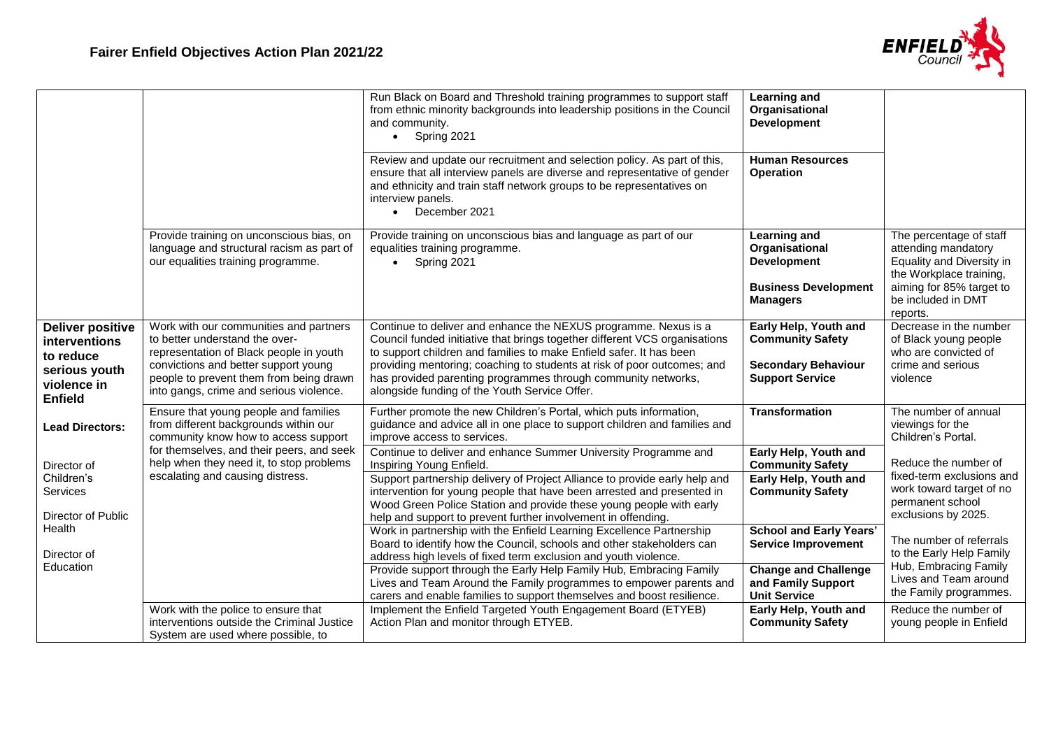

|                                                                                                         |                                                                                                                                                                                                                                                   | Run Black on Board and Threshold training programmes to support staff<br>from ethnic minority backgrounds into leadership positions in the Council<br>and community.<br>$\bullet$ Spring 2021<br>Review and update our recruitment and selection policy. As part of this,<br>ensure that all interview panels are diverse and representative of gender<br>and ethnicity and train staff network groups to be representatives on<br>interview panels.<br>December 2021<br>$\bullet$ | Learning and<br>Organisational<br><b>Development</b><br><b>Human Resources</b><br><b>Operation</b>            |                                                                                                                                                                      |
|---------------------------------------------------------------------------------------------------------|---------------------------------------------------------------------------------------------------------------------------------------------------------------------------------------------------------------------------------------------------|------------------------------------------------------------------------------------------------------------------------------------------------------------------------------------------------------------------------------------------------------------------------------------------------------------------------------------------------------------------------------------------------------------------------------------------------------------------------------------|---------------------------------------------------------------------------------------------------------------|----------------------------------------------------------------------------------------------------------------------------------------------------------------------|
|                                                                                                         | Provide training on unconscious bias, on<br>language and structural racism as part of<br>our equalities training programme.                                                                                                                       | Provide training on unconscious bias and language as part of our<br>equalities training programme.<br>Spring 2021<br>$\bullet$                                                                                                                                                                                                                                                                                                                                                     | <b>Learning and</b><br>Organisational<br><b>Development</b><br><b>Business Development</b><br><b>Managers</b> | The percentage of staff<br>attending mandatory<br>Equality and Diversity in<br>the Workplace training,<br>aiming for 85% target to<br>be included in DMT<br>reports. |
| <b>Deliver positive</b><br>interventions<br>to reduce<br>serious youth<br>violence in<br><b>Enfield</b> | Work with our communities and partners<br>to better understand the over-<br>representation of Black people in youth<br>convictions and better support young<br>people to prevent them from being drawn<br>into gangs, crime and serious violence. | Continue to deliver and enhance the NEXUS programme. Nexus is a<br>Council funded initiative that brings together different VCS organisations<br>to support children and families to make Enfield safer. It has been<br>providing mentoring; coaching to students at risk of poor outcomes; and<br>has provided parenting programmes through community networks,<br>alongside funding of the Youth Service Offer.                                                                  | Early Help, Youth and<br><b>Community Safety</b><br><b>Secondary Behaviour</b><br><b>Support Service</b>      | Decrease in the number<br>of Black young people<br>who are convicted of<br>crime and serious<br>violence                                                             |
| <b>Lead Directors:</b><br>Director of                                                                   | Ensure that young people and families<br>from different backgrounds within our<br>community know how to access support<br>for themselves, and their peers, and seek<br>help when they need it, to stop problems                                   | Further promote the new Children's Portal, which puts information,<br>guidance and advice all in one place to support children and families and<br>improve access to services.<br>Continue to deliver and enhance Summer University Programme and<br>Inspiring Young Enfield.                                                                                                                                                                                                      | <b>Transformation</b><br>Early Help, Youth and<br><b>Community Safety</b>                                     | The number of annual<br>viewings for the<br>Children's Portal.<br>Reduce the number of                                                                               |
| Children's<br><b>Services</b><br>Director of Public<br>Health                                           | escalating and causing distress.                                                                                                                                                                                                                  | Support partnership delivery of Project Alliance to provide early help and<br>intervention for young people that have been arrested and presented in<br>Wood Green Police Station and provide these young people with early<br>help and support to prevent further involvement in offending.                                                                                                                                                                                       | Early Help, Youth and<br><b>Community Safety</b>                                                              | fixed-term exclusions and<br>work toward target of no<br>permanent school<br>exclusions by 2025.                                                                     |
| Director of<br>Education                                                                                |                                                                                                                                                                                                                                                   | Work in partnership with the Enfield Learning Excellence Partnership<br>Board to identify how the Council, schools and other stakeholders can<br>address high levels of fixed term exclusion and youth violence.<br>Provide support through the Early Help Family Hub, Embracing Family                                                                                                                                                                                            | <b>School and Early Years'</b><br><b>Service Improvement</b><br><b>Change and Challenge</b>                   | The number of referrals<br>to the Early Help Family<br>Hub, Embracing Family                                                                                         |
|                                                                                                         |                                                                                                                                                                                                                                                   | Lives and Team Around the Family programmes to empower parents and<br>carers and enable families to support themselves and boost resilience.                                                                                                                                                                                                                                                                                                                                       | and Family Support<br><b>Unit Service</b>                                                                     | Lives and Team around<br>the Family programmes.                                                                                                                      |
|                                                                                                         | Work with the police to ensure that<br>interventions outside the Criminal Justice<br>System are used where possible, to                                                                                                                           | Implement the Enfield Targeted Youth Engagement Board (ETYEB)<br>Action Plan and monitor through ETYEB.                                                                                                                                                                                                                                                                                                                                                                            | Early Help, Youth and<br><b>Community Safety</b>                                                              | Reduce the number of<br>young people in Enfield                                                                                                                      |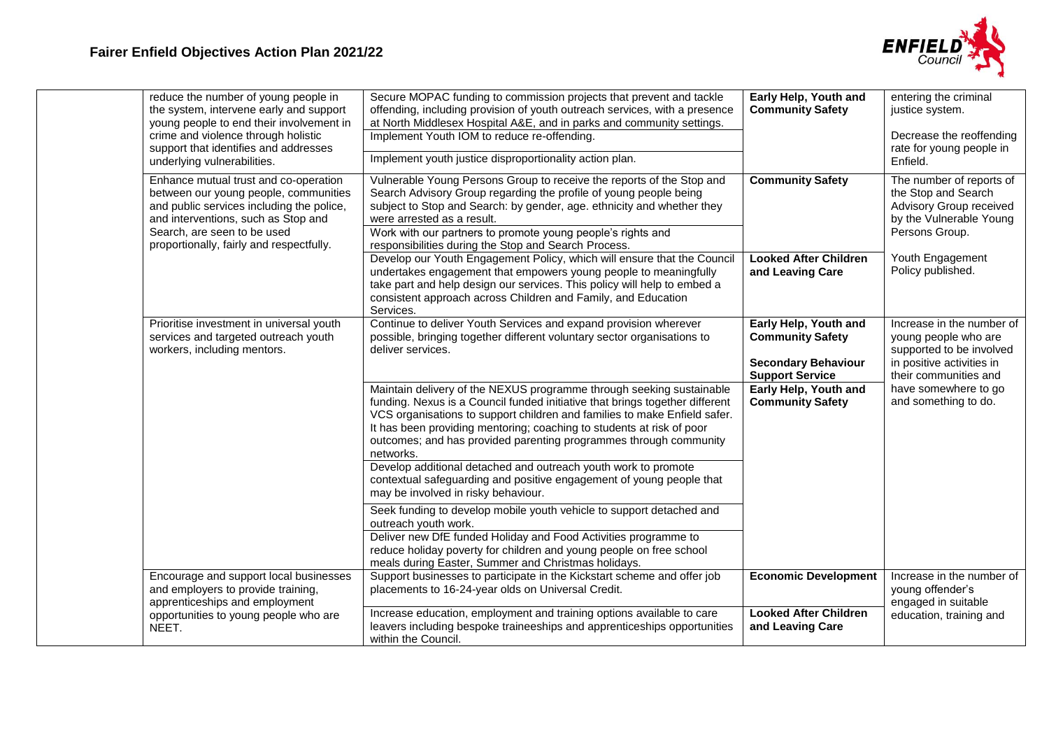

|                                      | reduce the number of young people in<br>the system, intervene early and support<br>young people to end their involvement in<br>crime and violence through holistic<br>support that identifies and addresses<br>underlying vulnerabilities.    | Secure MOPAC funding to commission projects that prevent and tackle<br>offending, including provision of youth outreach services, with a presence<br>at North Middlesex Hospital A&E, and in parks and community settings.<br>Implement Youth IOM to reduce re-offending.<br>Implement youth justice disproportionality action plan.                                                         | Early Help, Youth and<br><b>Community Safety</b>                                                         | entering the criminal<br>justice system.<br>Decrease the reoffending<br>rate for young people in<br>Enfield.                        |
|--------------------------------------|-----------------------------------------------------------------------------------------------------------------------------------------------------------------------------------------------------------------------------------------------|----------------------------------------------------------------------------------------------------------------------------------------------------------------------------------------------------------------------------------------------------------------------------------------------------------------------------------------------------------------------------------------------|----------------------------------------------------------------------------------------------------------|-------------------------------------------------------------------------------------------------------------------------------------|
|                                      | Enhance mutual trust and co-operation<br>between our young people, communities<br>and public services including the police,<br>and interventions, such as Stop and<br>Search, are seen to be used<br>proportionally, fairly and respectfully. | Vulnerable Young Persons Group to receive the reports of the Stop and<br>Search Advisory Group regarding the profile of young people being<br>subject to Stop and Search: by gender, age. ethnicity and whether they<br>were arrested as a result.<br>Work with our partners to promote young people's rights and<br>responsibilities during the Stop and Search Process.                    | <b>Community Safety</b>                                                                                  | The number of reports of<br>the Stop and Search<br>Advisory Group received<br>by the Vulnerable Young<br>Persons Group.             |
|                                      |                                                                                                                                                                                                                                               | Develop our Youth Engagement Policy, which will ensure that the Council<br>undertakes engagement that empowers young people to meaningfully<br>take part and help design our services. This policy will help to embed a<br>consistent approach across Children and Family, and Education<br>Services.                                                                                        | <b>Looked After Children</b><br>and Leaving Care                                                         | Youth Engagement<br>Policy published.                                                                                               |
| workers, including mentors.<br>NEET. | Prioritise investment in universal youth<br>services and targeted outreach youth                                                                                                                                                              | Continue to deliver Youth Services and expand provision wherever<br>possible, bringing together different voluntary sector organisations to<br>deliver services.                                                                                                                                                                                                                             | Early Help, Youth and<br><b>Community Safety</b><br><b>Secondary Behaviour</b><br><b>Support Service</b> | Increase in the number of<br>young people who are<br>supported to be involved<br>in positive activities in<br>their communities and |
|                                      |                                                                                                                                                                                                                                               | Maintain delivery of the NEXUS programme through seeking sustainable<br>funding. Nexus is a Council funded initiative that brings together different<br>VCS organisations to support children and families to make Enfield safer.<br>It has been providing mentoring; coaching to students at risk of poor<br>outcomes; and has provided parenting programmes through community<br>networks. | Early Help, Youth and<br><b>Community Safety</b>                                                         | have somewhere to go<br>and something to do.                                                                                        |
|                                      |                                                                                                                                                                                                                                               | Develop additional detached and outreach youth work to promote<br>contextual safeguarding and positive engagement of young people that<br>may be involved in risky behaviour.                                                                                                                                                                                                                |                                                                                                          |                                                                                                                                     |
|                                      |                                                                                                                                                                                                                                               | Seek funding to develop mobile youth vehicle to support detached and<br>outreach youth work.<br>Deliver new DfE funded Holiday and Food Activities programme to<br>reduce holiday poverty for children and young people on free school<br>meals during Easter, Summer and Christmas holidays.                                                                                                |                                                                                                          |                                                                                                                                     |
|                                      | Encourage and support local businesses<br>and employers to provide training,<br>apprenticeships and employment                                                                                                                                | Support businesses to participate in the Kickstart scheme and offer job<br>placements to 16-24-year olds on Universal Credit.                                                                                                                                                                                                                                                                | <b>Economic Development</b>                                                                              | Increase in the number of<br>young offender's<br>engaged in suitable                                                                |
|                                      | opportunities to young people who are                                                                                                                                                                                                         | Increase education, employment and training options available to care<br>leavers including bespoke traineeships and apprenticeships opportunities<br>within the Council.                                                                                                                                                                                                                     | <b>Looked After Children</b><br>and Leaving Care                                                         | education, training and                                                                                                             |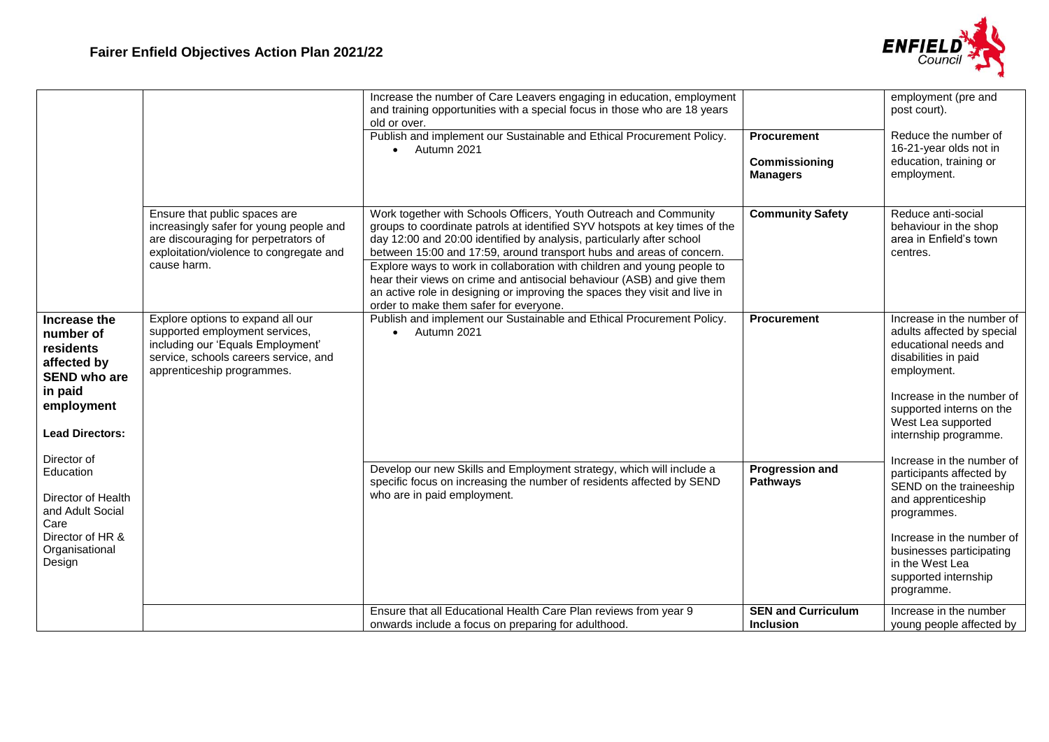

|                                                                                                                                                |                                                                                                                                                                                 | Increase the number of Care Leavers engaging in education, employment<br>and training opportunities with a special focus in those who are 18 years<br>old or over.                                                                                                                                                                                                                                                                                                                                                                                                             |                                                        | employment (pre and<br>post court).                                                                                                                                                                                                     |
|------------------------------------------------------------------------------------------------------------------------------------------------|---------------------------------------------------------------------------------------------------------------------------------------------------------------------------------|--------------------------------------------------------------------------------------------------------------------------------------------------------------------------------------------------------------------------------------------------------------------------------------------------------------------------------------------------------------------------------------------------------------------------------------------------------------------------------------------------------------------------------------------------------------------------------|--------------------------------------------------------|-----------------------------------------------------------------------------------------------------------------------------------------------------------------------------------------------------------------------------------------|
|                                                                                                                                                |                                                                                                                                                                                 | Publish and implement our Sustainable and Ethical Procurement Policy.<br>Autumn 2021<br>$\bullet$                                                                                                                                                                                                                                                                                                                                                                                                                                                                              | <b>Procurement</b><br>Commissioning<br><b>Managers</b> | Reduce the number of<br>16-21-year olds not in<br>education, training or<br>employment.                                                                                                                                                 |
|                                                                                                                                                | Ensure that public spaces are<br>increasingly safer for young people and<br>are discouraging for perpetrators of<br>exploitation/violence to congregate and<br>cause harm.      | Work together with Schools Officers, Youth Outreach and Community<br>groups to coordinate patrols at identified SYV hotspots at key times of the<br>day 12:00 and 20:00 identified by analysis, particularly after school<br>between 15:00 and 17:59, around transport hubs and areas of concern.<br>Explore ways to work in collaboration with children and young people to<br>hear their views on crime and antisocial behaviour (ASB) and give them<br>an active role in designing or improving the spaces they visit and live in<br>order to make them safer for everyone. | <b>Community Safety</b>                                | Reduce anti-social<br>behaviour in the shop<br>area in Enfield's town<br>centres.                                                                                                                                                       |
| Increase the<br>number of<br>residents<br>affected by<br><b>SEND who are</b><br>in paid<br>employment<br><b>Lead Directors:</b><br>Director of | Explore options to expand all our<br>supported employment services,<br>including our 'Equals Employment'<br>service, schools careers service, and<br>apprenticeship programmes. | Publish and implement our Sustainable and Ethical Procurement Policy.<br>Autumn 2021<br>$\bullet$                                                                                                                                                                                                                                                                                                                                                                                                                                                                              | <b>Procurement</b>                                     | Increase in the number of<br>adults affected by special<br>educational needs and<br>disabilities in paid<br>employment.<br>Increase in the number of<br>supported interns on the<br>West Lea supported<br>internship programme.         |
| Education<br>Director of Health<br>and Adult Social<br>Care<br>Director of HR &<br>Organisational<br>Design                                    |                                                                                                                                                                                 | Develop our new Skills and Employment strategy, which will include a<br>specific focus on increasing the number of residents affected by SEND<br>who are in paid employment.                                                                                                                                                                                                                                                                                                                                                                                                   | <b>Progression and</b><br><b>Pathways</b>              | Increase in the number of<br>participants affected by<br>SEND on the traineeship<br>and apprenticeship<br>programmes.<br>Increase in the number of<br>businesses participating<br>in the West Lea<br>supported internship<br>programme. |
|                                                                                                                                                |                                                                                                                                                                                 | Ensure that all Educational Health Care Plan reviews from year 9<br>onwards include a focus on preparing for adulthood.                                                                                                                                                                                                                                                                                                                                                                                                                                                        | <b>SEN and Curriculum</b><br><b>Inclusion</b>          | Increase in the number<br>young people affected by                                                                                                                                                                                      |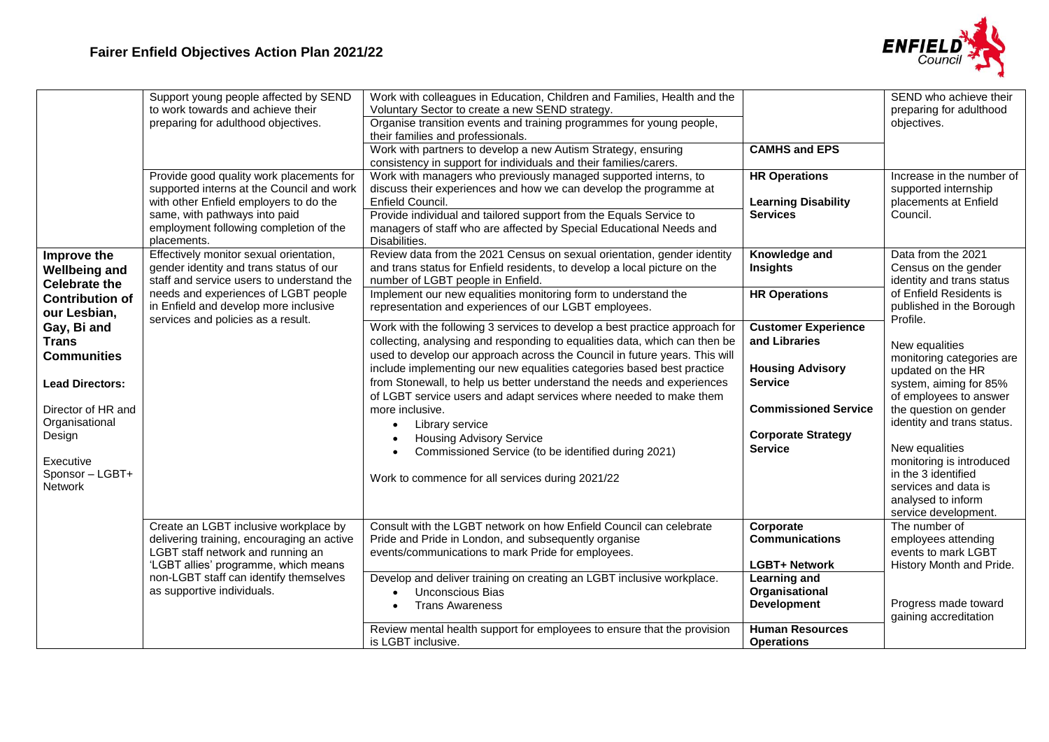

|                                                                                                                                                                                                                                                                                   | Support young people affected by SEND<br>to work towards and achieve their<br>preparing for adulthood objectives.<br>Provide good quality work placements for<br>supported interns at the Council and work<br>with other Enfield employers to do the<br>same, with pathways into paid<br>employment following completion of the | Work with colleagues in Education, Children and Families, Health and the<br>Voluntary Sector to create a new SEND strategy.<br>Organise transition events and training programmes for young people,<br>their families and professionals.<br>Work with partners to develop a new Autism Strategy, ensuring<br>consistency in support for individuals and their families/carers.<br>Work with managers who previously managed supported interns, to<br>discuss their experiences and how we can develop the programme at<br>Enfield Council.<br>Provide individual and tailored support from the Equals Service to<br>managers of staff who are affected by Special Educational Needs and                                                                                                                                                                                                                                                                                                                    | <b>CAMHS and EPS</b><br><b>HR Operations</b><br><b>Learning Disability</b><br><b>Services</b>                                                                                                                                      | SEND who achieve their<br>preparing for adulthood<br>objectives.<br>Increase in the number of<br>supported internship<br>placements at Enfield<br>Council.                                                                                                                                                                                                                                                                                                            |
|-----------------------------------------------------------------------------------------------------------------------------------------------------------------------------------------------------------------------------------------------------------------------------------|---------------------------------------------------------------------------------------------------------------------------------------------------------------------------------------------------------------------------------------------------------------------------------------------------------------------------------|------------------------------------------------------------------------------------------------------------------------------------------------------------------------------------------------------------------------------------------------------------------------------------------------------------------------------------------------------------------------------------------------------------------------------------------------------------------------------------------------------------------------------------------------------------------------------------------------------------------------------------------------------------------------------------------------------------------------------------------------------------------------------------------------------------------------------------------------------------------------------------------------------------------------------------------------------------------------------------------------------------|------------------------------------------------------------------------------------------------------------------------------------------------------------------------------------------------------------------------------------|-----------------------------------------------------------------------------------------------------------------------------------------------------------------------------------------------------------------------------------------------------------------------------------------------------------------------------------------------------------------------------------------------------------------------------------------------------------------------|
| Improve the<br><b>Wellbeing and</b><br><b>Celebrate the</b><br><b>Contribution of</b><br>our Lesbian,<br>Gay, Bi and<br><b>Trans</b><br><b>Communities</b><br><b>Lead Directors:</b><br>Director of HR and<br>Organisational<br>Design<br>Executive<br>Sponsor - LGBT+<br>Network | placements.<br>Effectively monitor sexual orientation,<br>gender identity and trans status of our<br>staff and service users to understand the<br>needs and experiences of LGBT people<br>in Enfield and develop more inclusive<br>services and policies as a result.                                                           | Disabilities.<br>Review data from the 2021 Census on sexual orientation, gender identity<br>and trans status for Enfield residents, to develop a local picture on the<br>number of LGBT people in Enfield.<br>Implement our new equalities monitoring form to understand the<br>representation and experiences of our LGBT employees.<br>Work with the following 3 services to develop a best practice approach for<br>collecting, analysing and responding to equalities data, which can then be<br>used to develop our approach across the Council in future years. This will<br>include implementing our new equalities categories based best practice<br>from Stonewall, to help us better understand the needs and experiences<br>of LGBT service users and adapt services where needed to make them<br>more inclusive.<br>Library service<br>$\bullet$<br><b>Housing Advisory Service</b><br>Commissioned Service (to be identified during 2021)<br>Work to commence for all services during 2021/22 | Knowledge and<br><b>Insights</b><br><b>HR Operations</b><br><b>Customer Experience</b><br>and Libraries<br><b>Housing Advisory</b><br><b>Service</b><br><b>Commissioned Service</b><br><b>Corporate Strategy</b><br><b>Service</b> | Data from the 2021<br>Census on the gender<br>identity and trans status<br>of Enfield Residents is<br>published in the Borough<br>Profile.<br>New equalities<br>monitoring categories are<br>updated on the HR<br>system, aiming for 85%<br>of employees to answer<br>the question on gender<br>identity and trans status.<br>New equalities<br>monitoring is introduced<br>in the 3 identified<br>services and data is<br>analysed to inform<br>service development. |
|                                                                                                                                                                                                                                                                                   | Create an LGBT inclusive workplace by<br>delivering training, encouraging an active<br>LGBT staff network and running an<br>'LGBT allies' programme, which means<br>non-LGBT staff can identify themselves<br>as supportive individuals.                                                                                        | Consult with the LGBT network on how Enfield Council can celebrate<br>Pride and Pride in London, and subsequently organise<br>events/communications to mark Pride for employees.<br>Develop and deliver training on creating an LGBT inclusive workplace.<br>Unconscious Bias<br><b>Trans Awareness</b><br>Review mental health support for employees to ensure that the provision<br>is LGBT inclusive.                                                                                                                                                                                                                                                                                                                                                                                                                                                                                                                                                                                                   | Corporate<br><b>Communications</b><br><b>LGBT+ Network</b><br><b>Learning and</b><br>Organisational<br><b>Development</b><br><b>Human Resources</b><br><b>Operations</b>                                                           | The number of<br>employees attending<br>events to mark LGBT<br>History Month and Pride.<br>Progress made toward<br>gaining accreditation                                                                                                                                                                                                                                                                                                                              |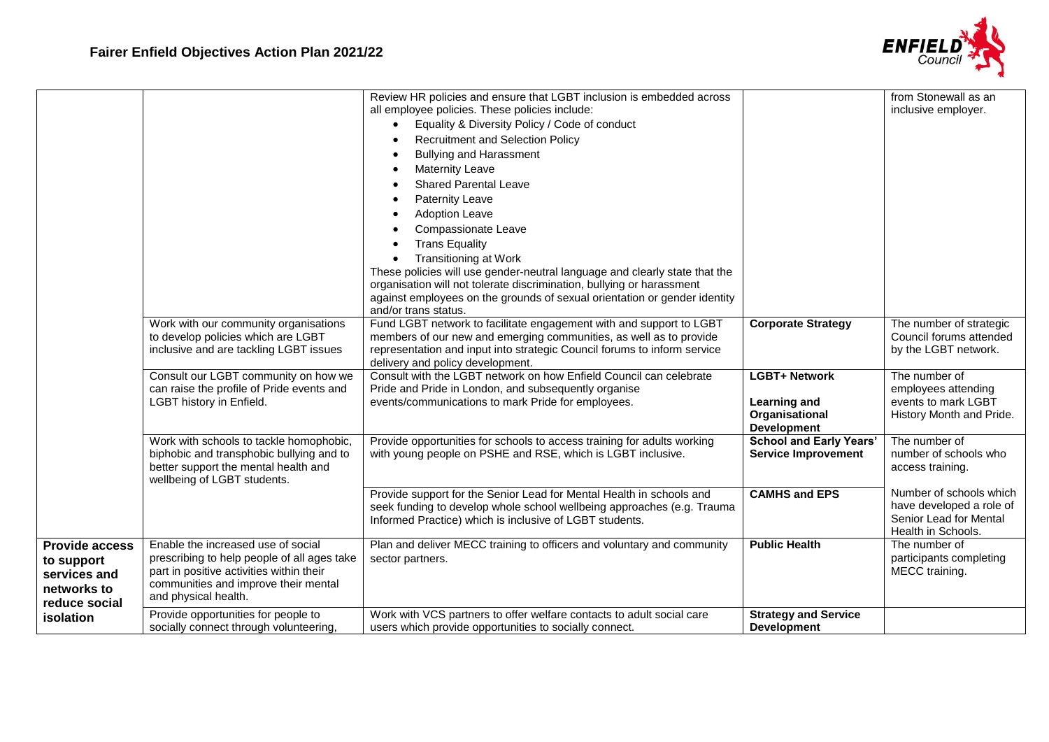

|                                                                                     | Work with our community organisations<br>to develop policies which are LGBT<br>inclusive and are tackling LGBT issues                                                                         | Review HR policies and ensure that LGBT inclusion is embedded across<br>all employee policies. These policies include:<br>Equality & Diversity Policy / Code of conduct<br>Recruitment and Selection Policy<br><b>Bullying and Harassment</b><br><b>Maternity Leave</b><br><b>Shared Parental Leave</b><br><b>Paternity Leave</b><br><b>Adoption Leave</b><br>Compassionate Leave<br><b>Trans Equality</b><br><b>Transitioning at Work</b><br>$\bullet$<br>These policies will use gender-neutral language and clearly state that the<br>organisation will not tolerate discrimination, bullying or harassment<br>against employees on the grounds of sexual orientation or gender identity<br>and/or trans status.<br>Fund LGBT network to facilitate engagement with and support to LGBT<br>members of our new and emerging communities, as well as to provide<br>representation and input into strategic Council forums to inform service | <b>Corporate Strategy</b>                                                           | from Stonewall as an<br>inclusive employer.<br>The number of strategic<br>Council forums attended<br>by the LGBT network. |
|-------------------------------------------------------------------------------------|-----------------------------------------------------------------------------------------------------------------------------------------------------------------------------------------------|----------------------------------------------------------------------------------------------------------------------------------------------------------------------------------------------------------------------------------------------------------------------------------------------------------------------------------------------------------------------------------------------------------------------------------------------------------------------------------------------------------------------------------------------------------------------------------------------------------------------------------------------------------------------------------------------------------------------------------------------------------------------------------------------------------------------------------------------------------------------------------------------------------------------------------------------|-------------------------------------------------------------------------------------|---------------------------------------------------------------------------------------------------------------------------|
|                                                                                     | Consult our LGBT community on how we<br>can raise the profile of Pride events and<br>LGBT history in Enfield.                                                                                 | delivery and policy development.<br>Consult with the LGBT network on how Enfield Council can celebrate<br>Pride and Pride in London, and subsequently organise<br>events/communications to mark Pride for employees.                                                                                                                                                                                                                                                                                                                                                                                                                                                                                                                                                                                                                                                                                                                         | <b>LGBT+ Network</b><br><b>Learning and</b><br>Organisational<br><b>Development</b> | The number of<br>employees attending<br>events to mark LGBT<br>History Month and Pride.                                   |
|                                                                                     | Work with schools to tackle homophobic,<br>biphobic and transphobic bullying and to<br>better support the mental health and<br>wellbeing of LGBT students.                                    | Provide opportunities for schools to access training for adults working<br>with young people on PSHE and RSE, which is LGBT inclusive.                                                                                                                                                                                                                                                                                                                                                                                                                                                                                                                                                                                                                                                                                                                                                                                                       | <b>School and Early Years'</b><br><b>Service Improvement</b>                        | The number of<br>number of schools who<br>access training.                                                                |
|                                                                                     |                                                                                                                                                                                               | Provide support for the Senior Lead for Mental Health in schools and<br>seek funding to develop whole school wellbeing approaches (e.g. Trauma<br>Informed Practice) which is inclusive of LGBT students.                                                                                                                                                                                                                                                                                                                                                                                                                                                                                                                                                                                                                                                                                                                                    | <b>CAMHS and EPS</b>                                                                | Number of schools which<br>have developed a role of<br>Senior Lead for Mental<br>Health in Schools.                       |
| <b>Provide access</b><br>to support<br>services and<br>networks to<br>reduce social | Enable the increased use of social<br>prescribing to help people of all ages take<br>part in positive activities within their<br>communities and improve their mental<br>and physical health. | Plan and deliver MECC training to officers and voluntary and community<br>sector partners.                                                                                                                                                                                                                                                                                                                                                                                                                                                                                                                                                                                                                                                                                                                                                                                                                                                   | <b>Public Health</b>                                                                | The number of<br>participants completing<br>MECC training.                                                                |
| isolation                                                                           | Provide opportunities for people to<br>socially connect through volunteering,                                                                                                                 | Work with VCS partners to offer welfare contacts to adult social care<br>users which provide opportunities to socially connect.                                                                                                                                                                                                                                                                                                                                                                                                                                                                                                                                                                                                                                                                                                                                                                                                              | <b>Strategy and Service</b><br><b>Development</b>                                   |                                                                                                                           |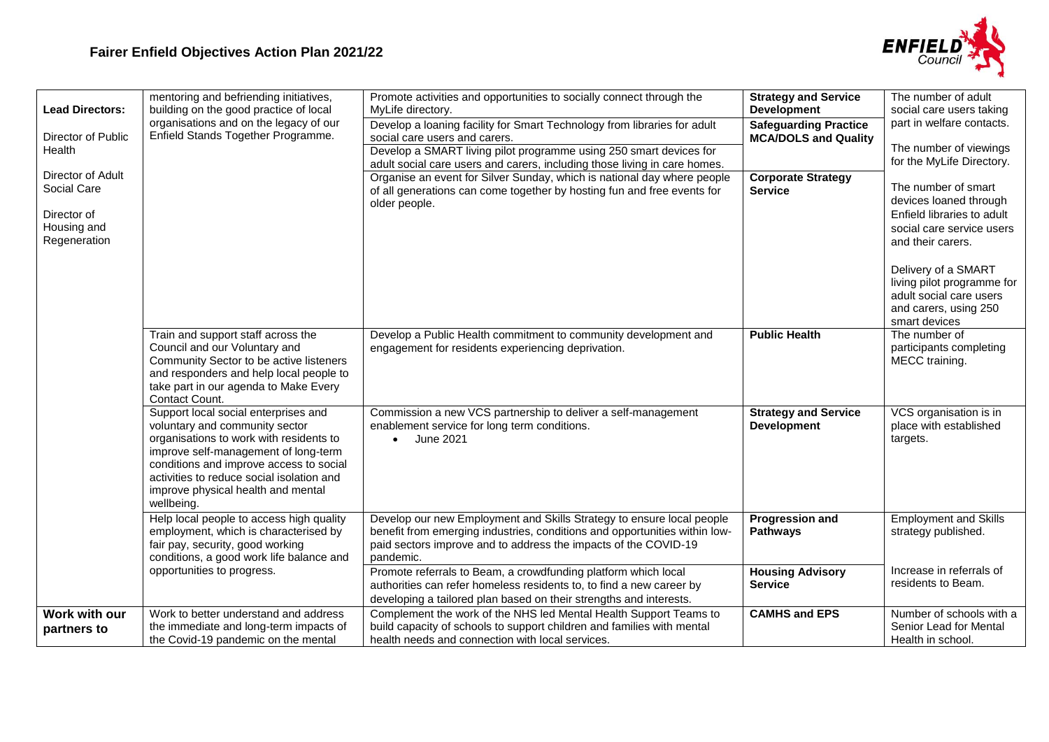

| <b>Lead Directors:</b><br>Director of Public<br>Health                         | mentoring and befriending initiatives,<br>building on the good practice of local<br>organisations and on the legacy of our<br>Enfield Stands Together Programme.                                                                                                                                      | Promote activities and opportunities to socially connect through the<br>MyLife directory.<br>Develop a loaning facility for Smart Technology from libraries for adult<br>social care users and carers.<br>Develop a SMART living pilot programme using 250 smart devices for | <b>Strategy and Service</b><br><b>Development</b><br><b>Safeguarding Practice</b><br><b>MCA/DOLS and Quality</b> | The number of adult<br>social care users taking<br>part in welfare contacts.<br>The number of viewings<br>for the MyLife Directory.                                                                                                    |
|--------------------------------------------------------------------------------|-------------------------------------------------------------------------------------------------------------------------------------------------------------------------------------------------------------------------------------------------------------------------------------------------------|------------------------------------------------------------------------------------------------------------------------------------------------------------------------------------------------------------------------------------------------------------------------------|------------------------------------------------------------------------------------------------------------------|----------------------------------------------------------------------------------------------------------------------------------------------------------------------------------------------------------------------------------------|
| Director of Adult<br>Social Care<br>Director of<br>Housing and<br>Regeneration |                                                                                                                                                                                                                                                                                                       | adult social care users and carers, including those living in care homes.<br>Organise an event for Silver Sunday, which is national day where people<br>of all generations can come together by hosting fun and free events for<br>older people.                             | <b>Corporate Strategy</b><br><b>Service</b>                                                                      | The number of smart<br>devices loaned through<br>Enfield libraries to adult<br>social care service users<br>and their carers.<br>Delivery of a SMART<br>living pilot programme for<br>adult social care users<br>and carers, using 250 |
|                                                                                | Train and support staff across the<br>Council and our Voluntary and<br>Community Sector to be active listeners<br>and responders and help local people to<br>take part in our agenda to Make Every<br>Contact Count.                                                                                  | Develop a Public Health commitment to community development and<br>engagement for residents experiencing deprivation.                                                                                                                                                        | <b>Public Health</b>                                                                                             | smart devices<br>The number of<br>participants completing<br>MECC training.                                                                                                                                                            |
|                                                                                | Support local social enterprises and<br>voluntary and community sector<br>organisations to work with residents to<br>improve self-management of long-term<br>conditions and improve access to social<br>activities to reduce social isolation and<br>improve physical health and mental<br>wellbeing. | Commission a new VCS partnership to deliver a self-management<br>enablement service for long term conditions.<br>June 2021                                                                                                                                                   | <b>Strategy and Service</b><br><b>Development</b>                                                                | VCS organisation is in<br>place with established<br>targets.                                                                                                                                                                           |
|                                                                                | Help local people to access high quality<br>employment, which is characterised by<br>fair pay, security, good working<br>conditions, a good work life balance and                                                                                                                                     | Develop our new Employment and Skills Strategy to ensure local people<br>benefit from emerging industries, conditions and opportunities within low-<br>paid sectors improve and to address the impacts of the COVID-19<br>pandemic.                                          | <b>Progression and</b><br><b>Pathways</b>                                                                        | <b>Employment and Skills</b><br>strategy published.                                                                                                                                                                                    |
|                                                                                | opportunities to progress.                                                                                                                                                                                                                                                                            | Promote referrals to Beam, a crowdfunding platform which local<br>authorities can refer homeless residents to, to find a new career by<br>developing a tailored plan based on their strengths and interests.                                                                 | <b>Housing Advisory</b><br><b>Service</b>                                                                        | Increase in referrals of<br>residents to Beam.                                                                                                                                                                                         |
| Work with our<br>partners to                                                   | Work to better understand and address<br>the immediate and long-term impacts of<br>the Covid-19 pandemic on the mental                                                                                                                                                                                | Complement the work of the NHS led Mental Health Support Teams to<br>build capacity of schools to support children and families with mental<br>health needs and connection with local services.                                                                              | <b>CAMHS and EPS</b>                                                                                             | Number of schools with a<br>Senior Lead for Mental<br>Health in school.                                                                                                                                                                |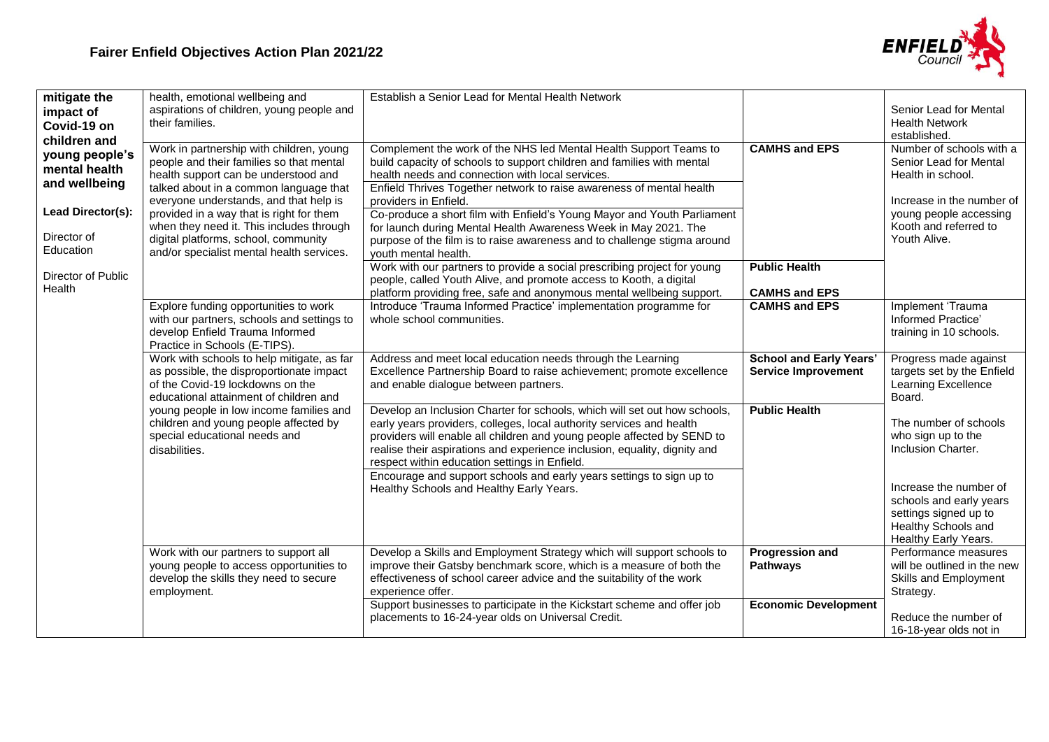

| mitigate the<br>impact of<br>Covid-19 on<br>children and<br>young people's<br>mental health<br>and wellbeing<br>Lead Director(s): | health, emotional wellbeing and<br>aspirations of children, young people and<br>their families.<br>Work in partnership with children, young<br>people and their families so that mental<br>health support can be understood and<br>talked about in a common language that<br>everyone understands, and that help is<br>provided in a way that is right for them | Establish a Senior Lead for Mental Health Network<br>Complement the work of the NHS led Mental Health Support Teams to<br>build capacity of schools to support children and families with mental<br>health needs and connection with local services.<br>Enfield Thrives Together network to raise awareness of mental health<br>providers in Enfield.<br>Co-produce a short film with Enfield's Young Mayor and Youth Parliament   | <b>CAMHS and EPS</b>                                                 | Senior Lead for Mental<br><b>Health Network</b><br>established<br>Number of schools with a<br>Senior Lead for Mental<br>Health in school.<br>Increase in the number of<br>young people accessing |
|-----------------------------------------------------------------------------------------------------------------------------------|-----------------------------------------------------------------------------------------------------------------------------------------------------------------------------------------------------------------------------------------------------------------------------------------------------------------------------------------------------------------|------------------------------------------------------------------------------------------------------------------------------------------------------------------------------------------------------------------------------------------------------------------------------------------------------------------------------------------------------------------------------------------------------------------------------------|----------------------------------------------------------------------|--------------------------------------------------------------------------------------------------------------------------------------------------------------------------------------------------|
| Director of<br>Education                                                                                                          | when they need it. This includes through<br>digital platforms, school, community<br>and/or specialist mental health services.                                                                                                                                                                                                                                   | for launch during Mental Health Awareness Week in May 2021. The<br>purpose of the film is to raise awareness and to challenge stigma around<br>vouth mental health.                                                                                                                                                                                                                                                                |                                                                      | Kooth and referred to<br>Youth Alive.                                                                                                                                                            |
| Director of Public<br>Health                                                                                                      |                                                                                                                                                                                                                                                                                                                                                                 | Work with our partners to provide a social prescribing project for young<br>people, called Youth Alive, and promote access to Kooth, a digital<br>platform providing free, safe and anonymous mental wellbeing support.<br>Introduce 'Trauma Informed Practice' implementation programme for                                                                                                                                       | <b>Public Health</b><br><b>CAMHS and EPS</b><br><b>CAMHS and EPS</b> | Implement 'Trauma                                                                                                                                                                                |
|                                                                                                                                   | Explore funding opportunities to work<br>with our partners, schools and settings to<br>develop Enfield Trauma Informed<br>Practice in Schools (E-TIPS).                                                                                                                                                                                                         | whole school communities.                                                                                                                                                                                                                                                                                                                                                                                                          |                                                                      | Informed Practice'<br>training in 10 schools.                                                                                                                                                    |
|                                                                                                                                   | Work with schools to help mitigate, as far<br>as possible, the disproportionate impact<br>of the Covid-19 lockdowns on the<br>educational attainment of children and                                                                                                                                                                                            | Address and meet local education needs through the Learning<br>Excellence Partnership Board to raise achievement; promote excellence<br>and enable dialogue between partners.                                                                                                                                                                                                                                                      | <b>School and Early Years'</b><br><b>Service Improvement</b>         | Progress made against<br>targets set by the Enfield<br>Learning Excellence<br>Board.                                                                                                             |
|                                                                                                                                   | young people in low income families and<br>children and young people affected by<br>special educational needs and<br>disabilities.                                                                                                                                                                                                                              | Develop an Inclusion Charter for schools, which will set out how schools,<br>early years providers, colleges, local authority services and health<br>providers will enable all children and young people affected by SEND to<br>realise their aspirations and experience inclusion, equality, dignity and<br>respect within education settings in Enfield.<br>Encourage and support schools and early years settings to sign up to | <b>Public Health</b>                                                 | The number of schools<br>who sign up to the<br>Inclusion Charter.                                                                                                                                |
|                                                                                                                                   |                                                                                                                                                                                                                                                                                                                                                                 | Healthy Schools and Healthy Early Years.                                                                                                                                                                                                                                                                                                                                                                                           |                                                                      | Increase the number of<br>schools and early years<br>settings signed up to<br>Healthy Schools and<br>Healthy Early Years.                                                                        |
|                                                                                                                                   | Work with our partners to support all<br>young people to access opportunities to<br>develop the skills they need to secure<br>employment.                                                                                                                                                                                                                       | Develop a Skills and Employment Strategy which will support schools to<br>improve their Gatsby benchmark score, which is a measure of both the<br>effectiveness of school career advice and the suitability of the work<br>experience offer.                                                                                                                                                                                       | <b>Progression and</b><br><b>Pathways</b>                            | Performance measures<br>will be outlined in the new<br>Skills and Employment<br>Strategy.                                                                                                        |
|                                                                                                                                   |                                                                                                                                                                                                                                                                                                                                                                 | Support businesses to participate in the Kickstart scheme and offer job<br>placements to 16-24-year olds on Universal Credit.                                                                                                                                                                                                                                                                                                      | <b>Economic Development</b>                                          | Reduce the number of<br>16-18-year olds not in                                                                                                                                                   |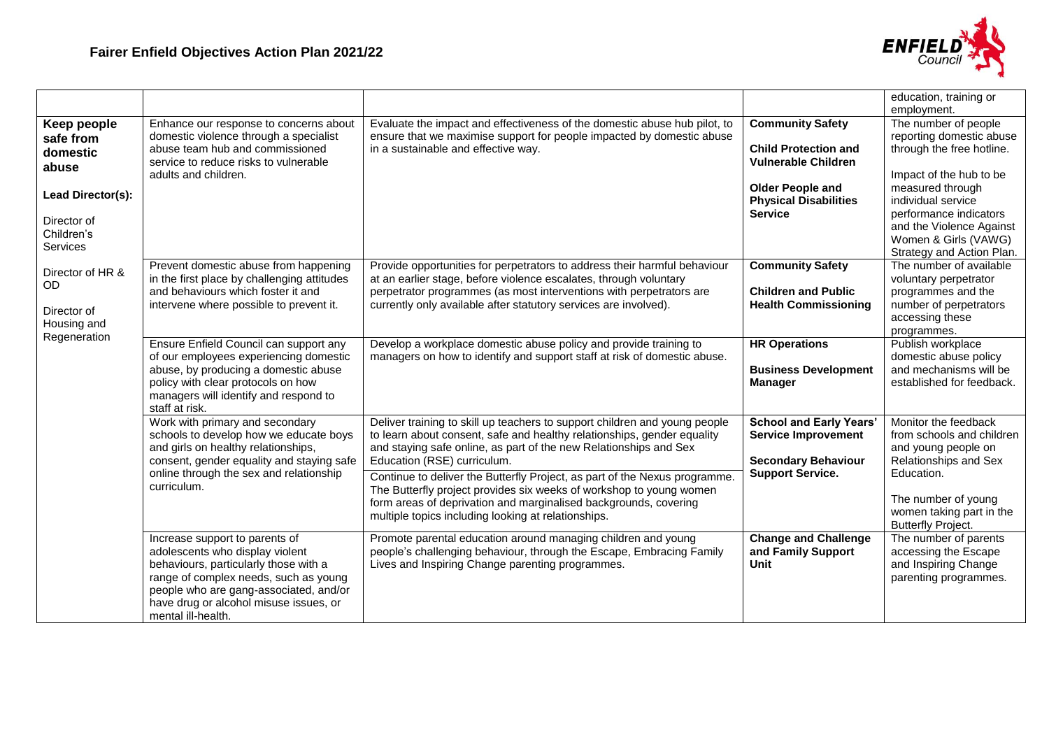

|                                                                             |                                                                                                                                                                                                                                                               |                                                                                                                                                                                                                                                                                           |                                                                                                                 | education, training or                                                                                                                      |
|-----------------------------------------------------------------------------|---------------------------------------------------------------------------------------------------------------------------------------------------------------------------------------------------------------------------------------------------------------|-------------------------------------------------------------------------------------------------------------------------------------------------------------------------------------------------------------------------------------------------------------------------------------------|-----------------------------------------------------------------------------------------------------------------|---------------------------------------------------------------------------------------------------------------------------------------------|
| Keep people<br>safe from<br>domestic<br>abuse<br>Lead Director(s):          | Enhance our response to concerns about<br>domestic violence through a specialist<br>abuse team hub and commissioned<br>service to reduce risks to vulnerable<br>adults and children.                                                                          | Evaluate the impact and effectiveness of the domestic abuse hub pilot, to<br>ensure that we maximise support for people impacted by domestic abuse<br>in a sustainable and effective way.                                                                                                 | <b>Community Safety</b><br><b>Child Protection and</b><br><b>Vulnerable Children</b><br><b>Older People and</b> | employment.<br>The number of people<br>reporting domestic abuse<br>through the free hotline.<br>Impact of the hub to be<br>measured through |
| Director of<br>Children's<br>Services                                       |                                                                                                                                                                                                                                                               |                                                                                                                                                                                                                                                                                           | <b>Physical Disabilities</b><br><b>Service</b>                                                                  | individual service<br>performance indicators<br>and the Violence Against<br>Women & Girls (VAWG)<br>Strategy and Action Plan.               |
| Director of HR &<br><b>OD</b><br>Director of<br>Housing and<br>Regeneration | Prevent domestic abuse from happening<br>in the first place by challenging attitudes<br>and behaviours which foster it and<br>intervene where possible to prevent it.                                                                                         | Provide opportunities for perpetrators to address their harmful behaviour<br>at an earlier stage, before violence escalates, through voluntary<br>perpetrator programmes (as most interventions with perpetrators are<br>currently only available after statutory services are involved). | <b>Community Safety</b><br><b>Children and Public</b><br><b>Health Commissioning</b>                            | The number of available<br>voluntary perpetrator<br>programmes and the<br>number of perpetrators<br>accessing these<br>programmes.          |
|                                                                             | Ensure Enfield Council can support any<br>of our employees experiencing domestic<br>abuse, by producing a domestic abuse<br>policy with clear protocols on how<br>managers will identify and respond to<br>staff at risk.                                     | Develop a workplace domestic abuse policy and provide training to<br>managers on how to identify and support staff at risk of domestic abuse.                                                                                                                                             | <b>HR Operations</b><br><b>Business Development</b><br><b>Manager</b>                                           | Publish workplace<br>domestic abuse policy<br>and mechanisms will be<br>established for feedback.                                           |
|                                                                             | Work with primary and secondary<br>schools to develop how we educate boys<br>and girls on healthy relationships,<br>consent, gender equality and staying safe                                                                                                 | Deliver training to skill up teachers to support children and young people<br>to learn about consent, safe and healthy relationships, gender equality<br>and staying safe online, as part of the new Relationships and Sex<br>Education (RSE) curriculum.                                 | <b>School and Early Years'</b><br><b>Service Improvement</b><br><b>Secondary Behaviour</b>                      | Monitor the feedback<br>from schools and children<br>and young people on<br>Relationships and Sex                                           |
|                                                                             | online through the sex and relationship<br>curriculum.                                                                                                                                                                                                        | Continue to deliver the Butterfly Project, as part of the Nexus programme.<br>The Butterfly project provides six weeks of workshop to young women<br>form areas of deprivation and marginalised backgrounds, covering<br>multiple topics including looking at relationships.              | <b>Support Service.</b>                                                                                         | Education.<br>The number of young<br>women taking part in the<br><b>Butterfly Project.</b>                                                  |
|                                                                             | Increase support to parents of<br>adolescents who display violent<br>behaviours, particularly those with a<br>range of complex needs, such as young<br>people who are gang-associated, and/or<br>have drug or alcohol misuse issues, or<br>mental ill-health. | Promote parental education around managing children and young<br>people's challenging behaviour, through the Escape, Embracing Family<br>Lives and Inspiring Change parenting programmes.                                                                                                 | <b>Change and Challenge</b><br>and Family Support<br><b>Unit</b>                                                | The number of parents<br>accessing the Escape<br>and Inspiring Change<br>parenting programmes.                                              |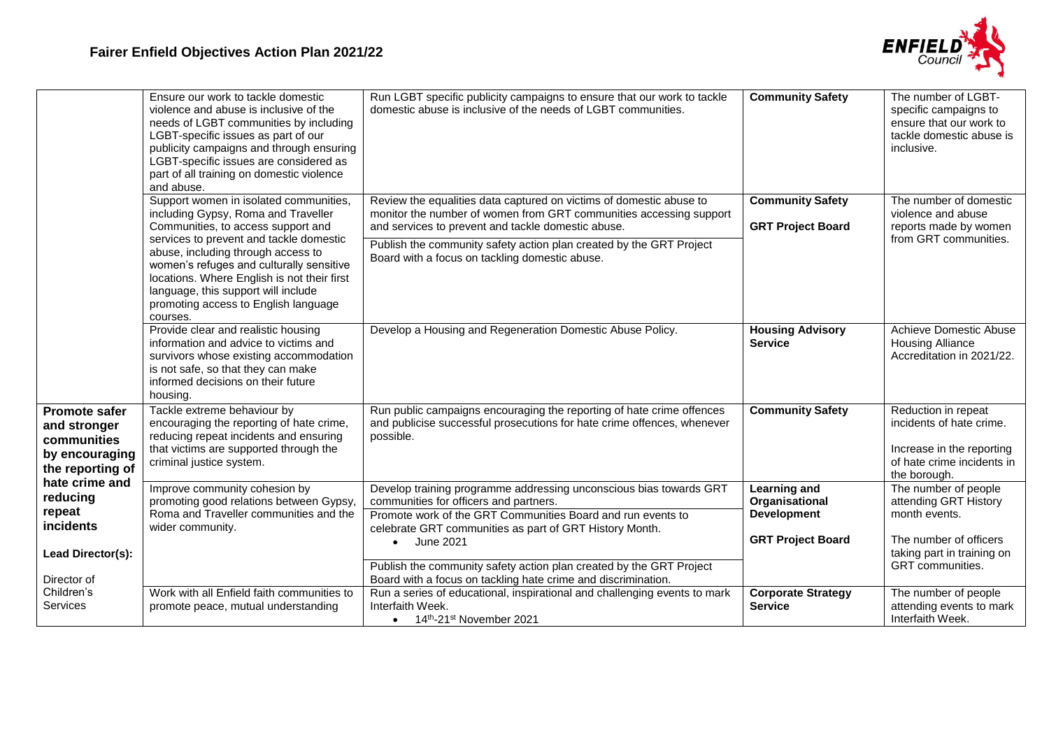

|                                                                                           | Ensure our work to tackle domestic<br>violence and abuse is inclusive of the<br>needs of LGBT communities by including<br>LGBT-specific issues as part of our<br>publicity campaigns and through ensuring<br>LGBT-specific issues are considered as<br>part of all training on domestic violence<br>and abuse.                                                                             | Run LGBT specific publicity campaigns to ensure that our work to tackle<br>domestic abuse is inclusive of the needs of LGBT communities.                                                                                                                                                                                 | <b>Community Safety</b>                                                                 | The number of LGBT-<br>specific campaigns to<br>ensure that our work to<br>tackle domestic abuse is<br>inclusive.          |
|-------------------------------------------------------------------------------------------|--------------------------------------------------------------------------------------------------------------------------------------------------------------------------------------------------------------------------------------------------------------------------------------------------------------------------------------------------------------------------------------------|--------------------------------------------------------------------------------------------------------------------------------------------------------------------------------------------------------------------------------------------------------------------------------------------------------------------------|-----------------------------------------------------------------------------------------|----------------------------------------------------------------------------------------------------------------------------|
|                                                                                           | Support women in isolated communities,<br>including Gypsy, Roma and Traveller<br>Communities, to access support and<br>services to prevent and tackle domestic<br>abuse, including through access to<br>women's refuges and culturally sensitive<br>locations. Where English is not their first<br>language, this support will include<br>promoting access to English language<br>courses. | Review the equalities data captured on victims of domestic abuse to<br>monitor the number of women from GRT communities accessing support<br>and services to prevent and tackle domestic abuse.<br>Publish the community safety action plan created by the GRT Project<br>Board with a focus on tackling domestic abuse. | <b>Community Safety</b><br><b>GRT Project Board</b>                                     | The number of domestic<br>violence and abuse<br>reports made by women<br>from GRT communities.                             |
|                                                                                           | Provide clear and realistic housing<br>information and advice to victims and<br>survivors whose existing accommodation<br>is not safe, so that they can make<br>informed decisions on their future<br>housing.                                                                                                                                                                             | Develop a Housing and Regeneration Domestic Abuse Policy.                                                                                                                                                                                                                                                                | <b>Housing Advisory</b><br><b>Service</b>                                               | <b>Achieve Domestic Abuse</b><br><b>Housing Alliance</b><br>Accreditation in 2021/22.                                      |
| <b>Promote safer</b><br>and stronger<br>communities<br>by encouraging<br>the reporting of | Tackle extreme behaviour by<br>encouraging the reporting of hate crime,<br>reducing repeat incidents and ensuring<br>that victims are supported through the<br>criminal justice system.                                                                                                                                                                                                    | Run public campaigns encouraging the reporting of hate crime offences<br>and publicise successful prosecutions for hate crime offences, whenever<br>possible.                                                                                                                                                            | <b>Community Safety</b>                                                                 | Reduction in repeat<br>incidents of hate crime.<br>Increase in the reporting<br>of hate crime incidents in<br>the borough. |
| hate crime and<br>reducing<br>repeat<br>incidents<br>Lead Director(s):                    | Improve community cohesion by<br>promoting good relations between Gypsy,<br>Roma and Traveller communities and the<br>wider community.                                                                                                                                                                                                                                                     | Develop training programme addressing unconscious bias towards GRT<br>communities for officers and partners.<br>Promote work of the GRT Communities Board and run events to<br>celebrate GRT communities as part of GRT History Month.<br>June 2021<br>$\bullet$                                                         | <b>Learning and</b><br>Organisational<br><b>Development</b><br><b>GRT Project Board</b> | The number of people<br>attending GRT History<br>month events.<br>The number of officers<br>taking part in training on     |
| Director of<br>Children's<br>Services                                                     | Work with all Enfield faith communities to<br>promote peace, mutual understanding                                                                                                                                                                                                                                                                                                          | Publish the community safety action plan created by the GRT Project<br>Board with a focus on tackling hate crime and discrimination.<br>Run a series of educational, inspirational and challenging events to mark<br>Interfaith Week.<br>$\bullet$ 14 <sup>th</sup> -21 <sup>st</sup> November 2021                      | <b>Corporate Strategy</b><br><b>Service</b>                                             | GRT communities.<br>The number of people<br>attending events to mark<br>Interfaith Week.                                   |